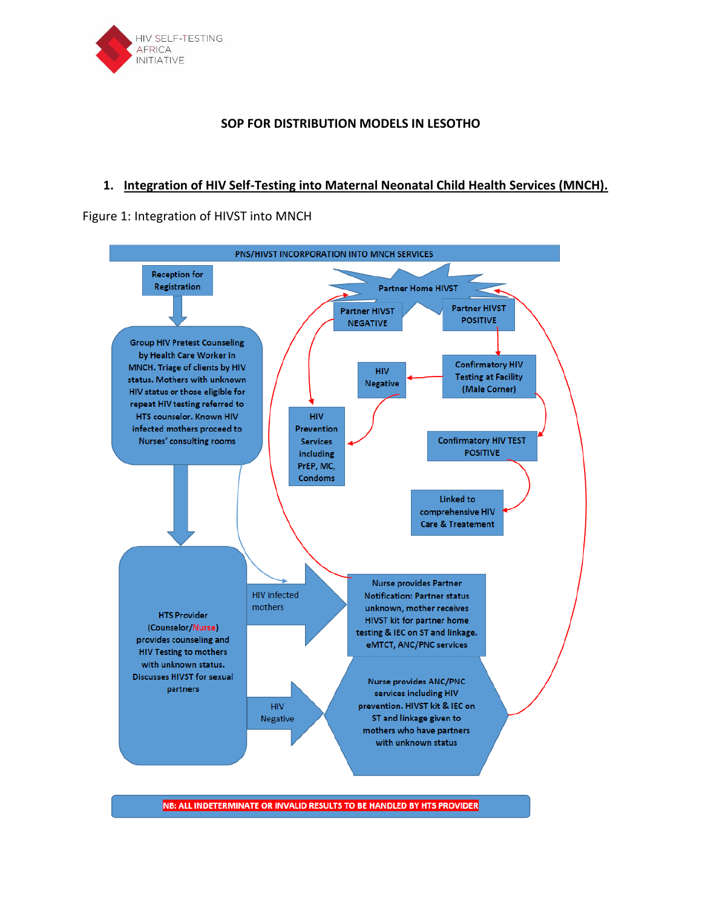

## **SOP FOR DISTRIBUTION MODELS IN LESOTHO**

## **1. Integration of HIV Self-Testing into Maternal Neonatal Child Health Services (MNCH).**

## Figure 1: Integration of HIVST into MNCH



NB: ALL INDETERMINATE OR INVALID RESULTS TO BE HANDLED BY HTS PROVIDER